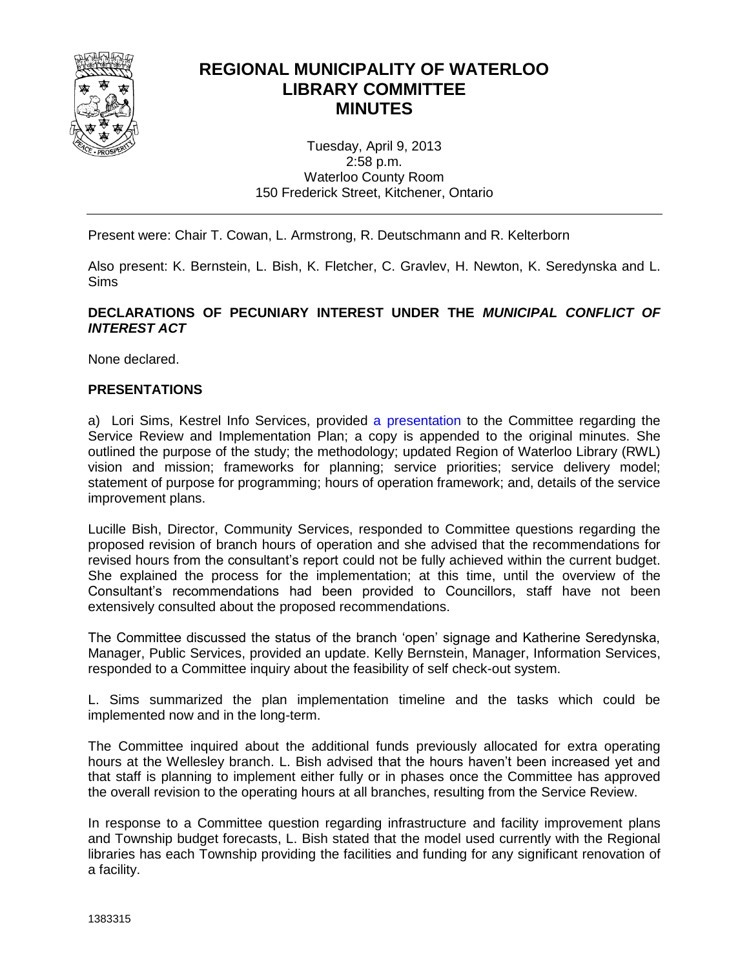

### **REGIONAL MUNICIPALITY OF WATERLOO LIBRARY COMMITTEE MINUTES**

Tuesday, April 9, 2013 2:58 p.m. Waterloo County Room 150 Frederick Street, Kitchener, Ontario

Present were: Chair T. Cowan, L. Armstrong, R. Deutschmann and R. Kelterborn

Also present: K. Bernstein, L. Bish, K. Fletcher, C. Gravlev, H. Newton, K. Seredynska and L. Sims

#### **DECLARATIONS OF PECUNIARY INTEREST UNDER THE** *MUNICIPAL CONFLICT OF INTEREST ACT*

None declared.

#### **PRESENTATIONS**

a) Lori Sims, Kestrel Info Services, provided [a presentation](#page-3-0) to the Committee regarding the Service Review and Implementation Plan; a copy is appended to the original minutes. She outlined the purpose of the study; the methodology; updated Region of Waterloo Library (RWL) vision and mission; frameworks for planning; service priorities; service delivery model; statement of purpose for programming; hours of operation framework; and, details of the service improvement plans.

Lucille Bish, Director, Community Services, responded to Committee questions regarding the proposed revision of branch hours of operation and she advised that the recommendations for revised hours from the consultant's report could not be fully achieved within the current budget. She explained the process for the implementation; at this time, until the overview of the Consultant's recommendations had been provided to Councillors, staff have not been extensively consulted about the proposed recommendations.

The Committee discussed the status of the branch 'open' signage and Katherine Seredynska, Manager, Public Services, provided an update. Kelly Bernstein, Manager, Information Services, responded to a Committee inquiry about the feasibility of self check-out system.

L. Sims summarized the plan implementation timeline and the tasks which could be implemented now and in the long-term.

The Committee inquired about the additional funds previously allocated for extra operating hours at the Wellesley branch. L. Bish advised that the hours haven't been increased yet and that staff is planning to implement either fully or in phases once the Committee has approved the overall revision to the operating hours at all branches, resulting from the Service Review.

In response to a Committee question regarding infrastructure and facility improvement plans and Township budget forecasts, L. Bish stated that the model used currently with the Regional libraries has each Township providing the facilities and funding for any significant renovation of a facility.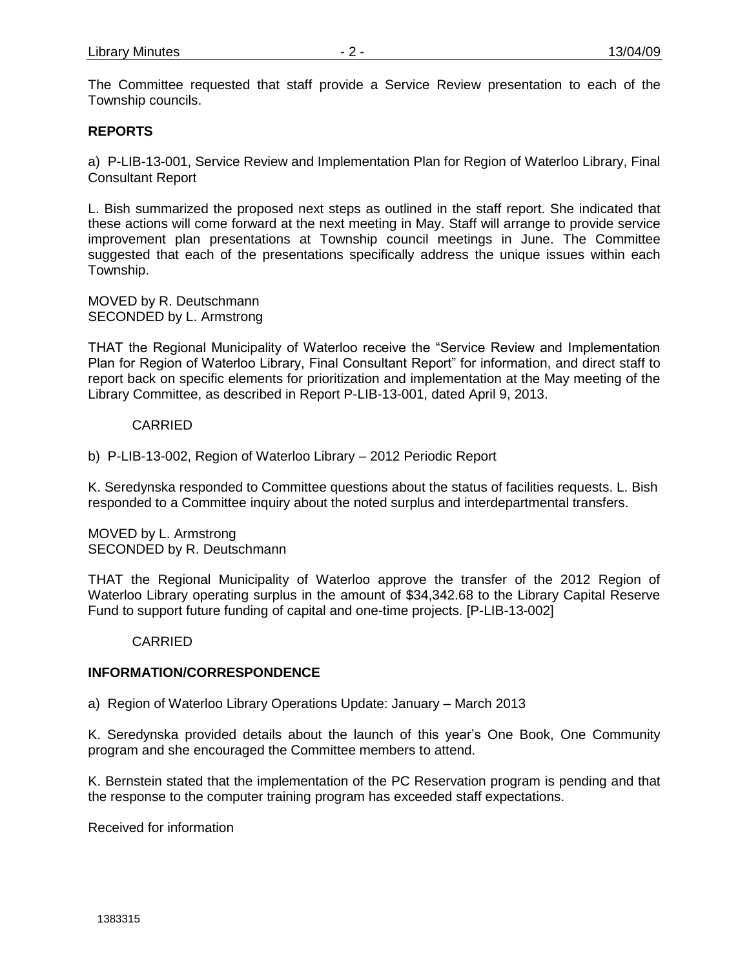The Committee requested that staff provide a Service Review presentation to each of the Township councils.

#### **REPORTS**

a) P-LIB-13-001, Service Review and Implementation Plan for Region of Waterloo Library, Final Consultant Report

L. Bish summarized the proposed next steps as outlined in the staff report. She indicated that these actions will come forward at the next meeting in May. Staff will arrange to provide service improvement plan presentations at Township council meetings in June. The Committee suggested that each of the presentations specifically address the unique issues within each Township.

MOVED by R. Deutschmann SECONDED by L. Armstrong

THAT the Regional Municipality of Waterloo receive the "Service Review and Implementation Plan for Region of Waterloo Library, Final Consultant Report" for information, and direct staff to report back on specific elements for prioritization and implementation at the May meeting of the Library Committee, as described in Report P-LIB-13-001, dated April 9, 2013.

#### CARRIED

b) P-LIB-13-002, Region of Waterloo Library – 2012 Periodic Report

K. Seredynska responded to Committee questions about the status of facilities requests. L. Bish responded to a Committee inquiry about the noted surplus and interdepartmental transfers.

MOVED by L. Armstrong SECONDED by R. Deutschmann

THAT the Regional Municipality of Waterloo approve the transfer of the 2012 Region of Waterloo Library operating surplus in the amount of \$34,342.68 to the Library Capital Reserve Fund to support future funding of capital and one-time projects. [P-LIB-13-002]

#### CARRIED

#### **INFORMATION/CORRESPONDENCE**

a) Region of Waterloo Library Operations Update: January – March 2013

K. Seredynska provided details about the launch of this year's One Book, One Community program and she encouraged the Committee members to attend.

K. Bernstein stated that the implementation of the PC Reservation program is pending and that the response to the computer training program has exceeded staff expectations.

Received for information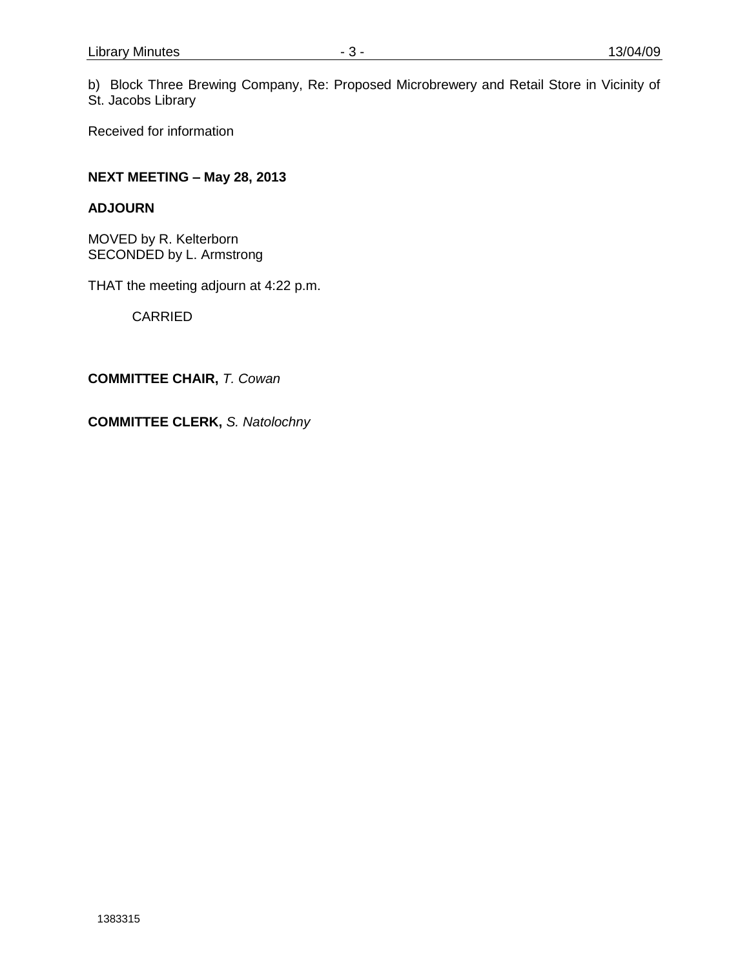b) Block Three Brewing Company, Re: Proposed Microbrewery and Retail Store in Vicinity of St. Jacobs Library

Received for information

### **NEXT MEETING – May 28, 2013**

#### **ADJOURN**

MOVED by R. Kelterborn SECONDED by L. Armstrong

THAT the meeting adjourn at 4:22 p.m.

**CARRIED** 

**COMMITTEE CHAIR,** *T. Cowan*

**COMMITTEE CLERK,** *S. Natolochny*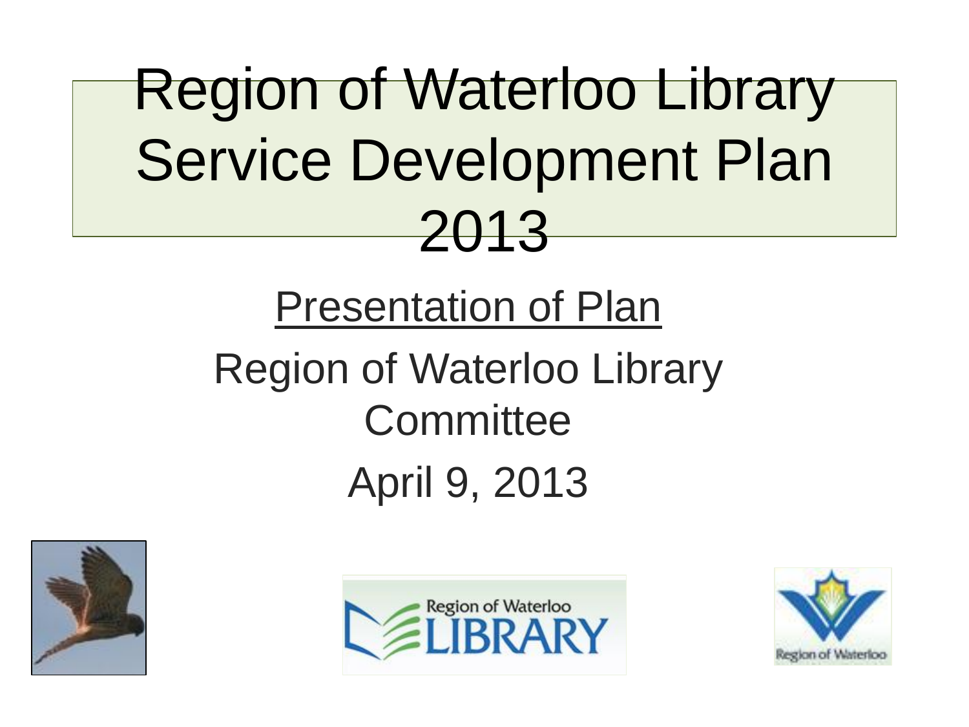# <span id="page-3-0"></span>Region of Waterloo Library Service Development Plan 2013

## Presentation of Plan Region of Waterloo Library **Committee** April 9, 2013





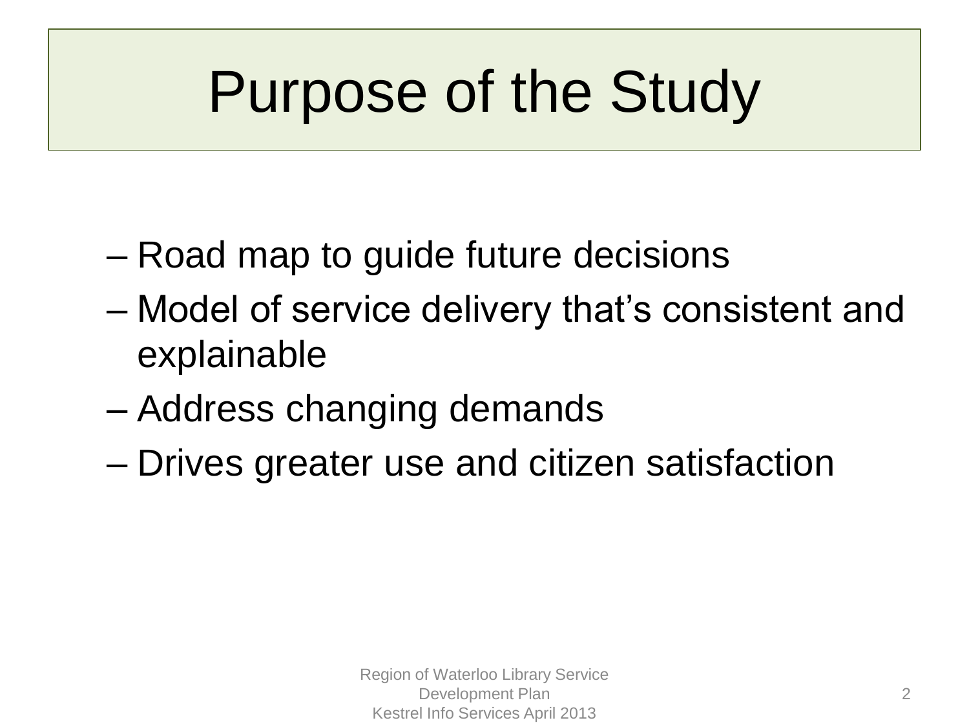# Purpose of the Study

- Road map to guide future decisions
- Model of service delivery that's consistent and explainable
- Address changing demands
- Drives greater use and citizen satisfaction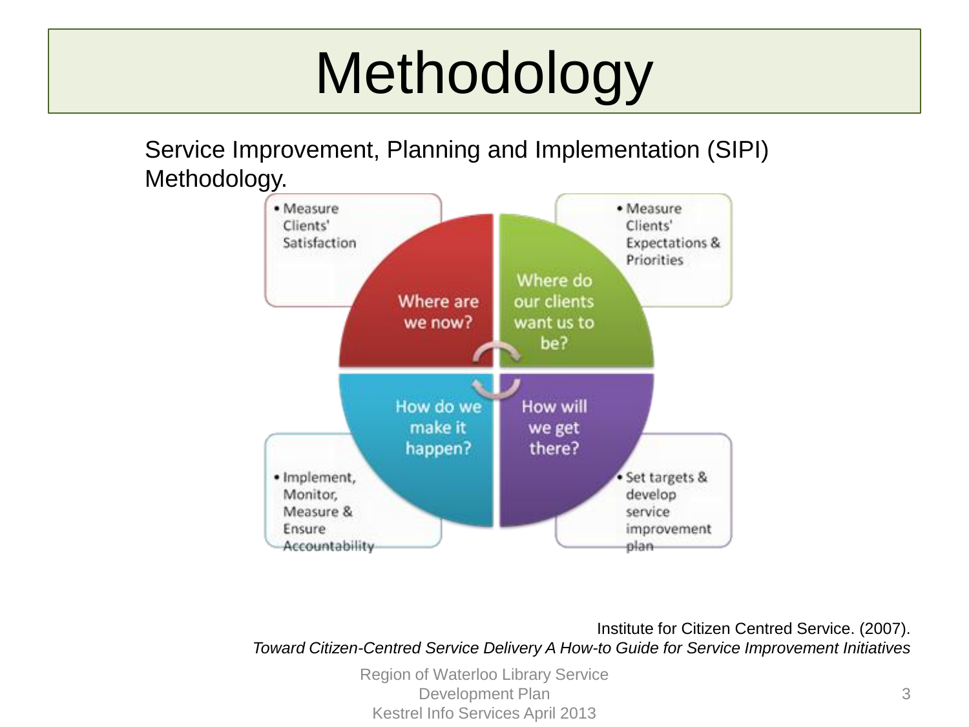# Methodology

Service Improvement, Planning and Implementation (SIPI) Methodology.



Institute for Citizen Centred Service. (2007). *Toward Citizen-Centred Service Delivery A How-to Guide for Service Improvement Initiatives*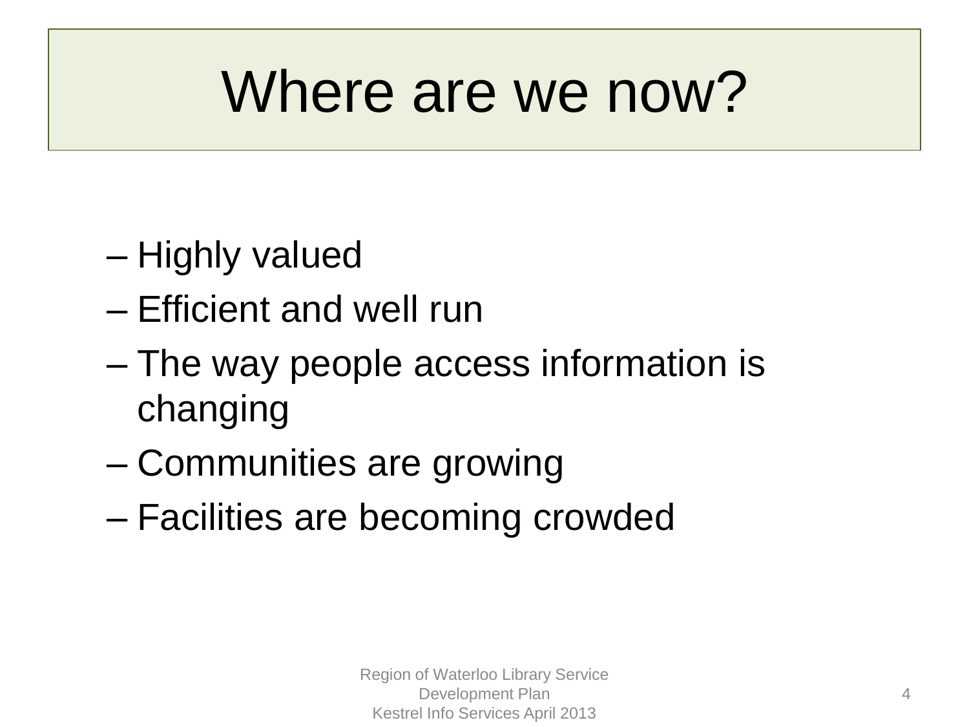## Where are we now?

- Highly valued
- Efficient and well run
- The way people access information is changing
- Communities are growing
- Facilities are becoming crowded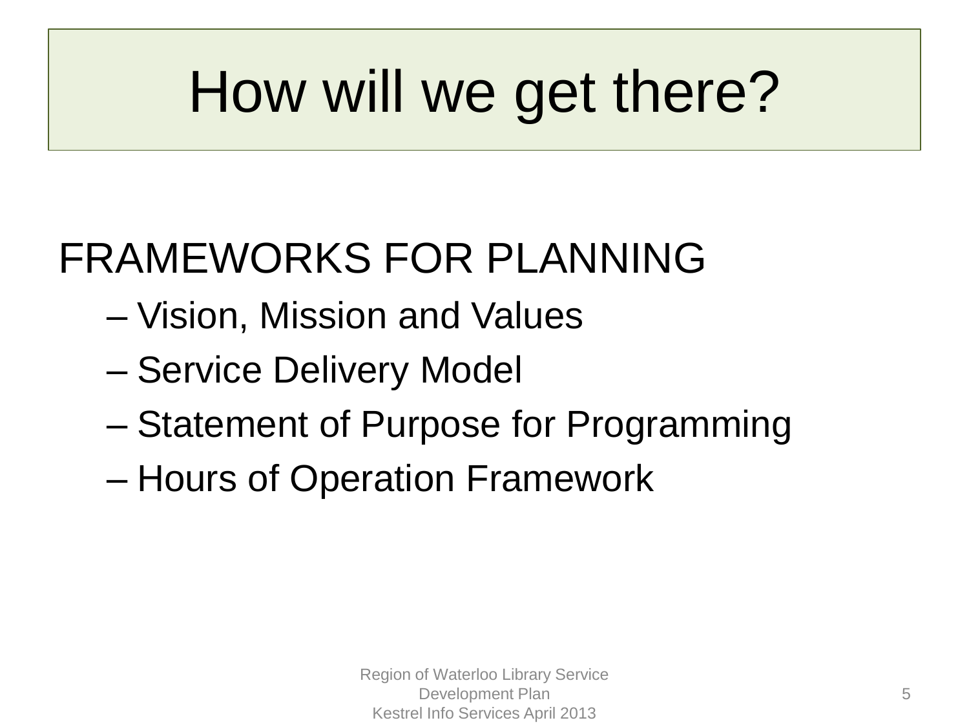# How will we get there?

## FRAMEWORKS FOR PLANNING

- Vision, Mission and Values
- Service Delivery Model
- Statement of Purpose for Programming
- Hours of Operation Framework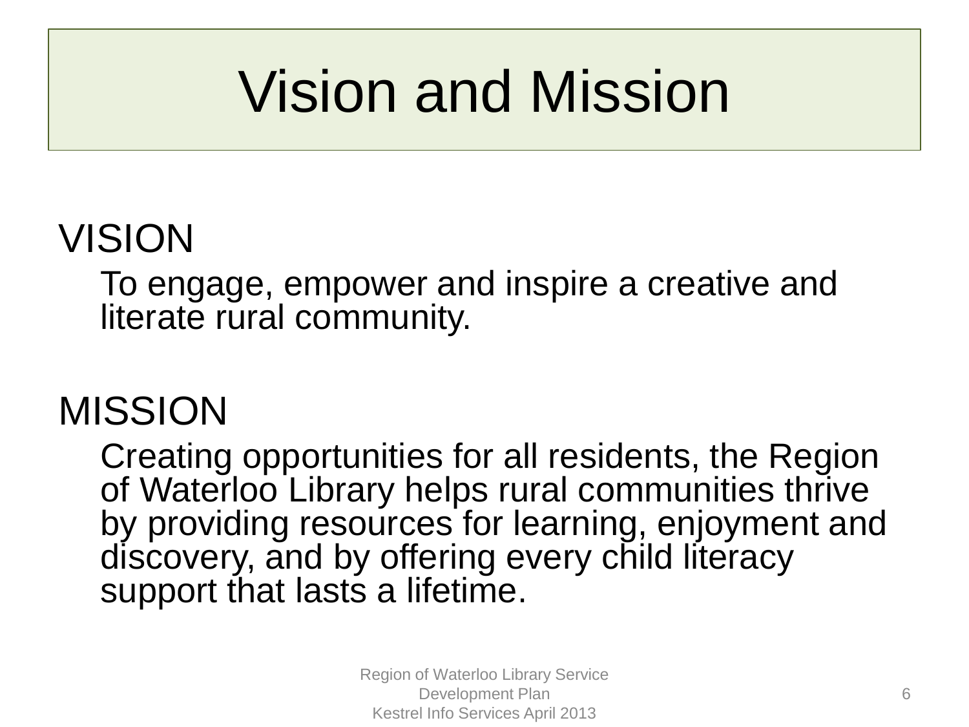# Vision and Mission

### VISION

To engage, empower and inspire a creative and literate rural community.

### MISSION

Creating opportunities for all residents, the Region of Waterloo Library helps rural communities thrive by providing resources for learning, enjoyment and discovery, and by offering every child literacy support that lasts a lifetime.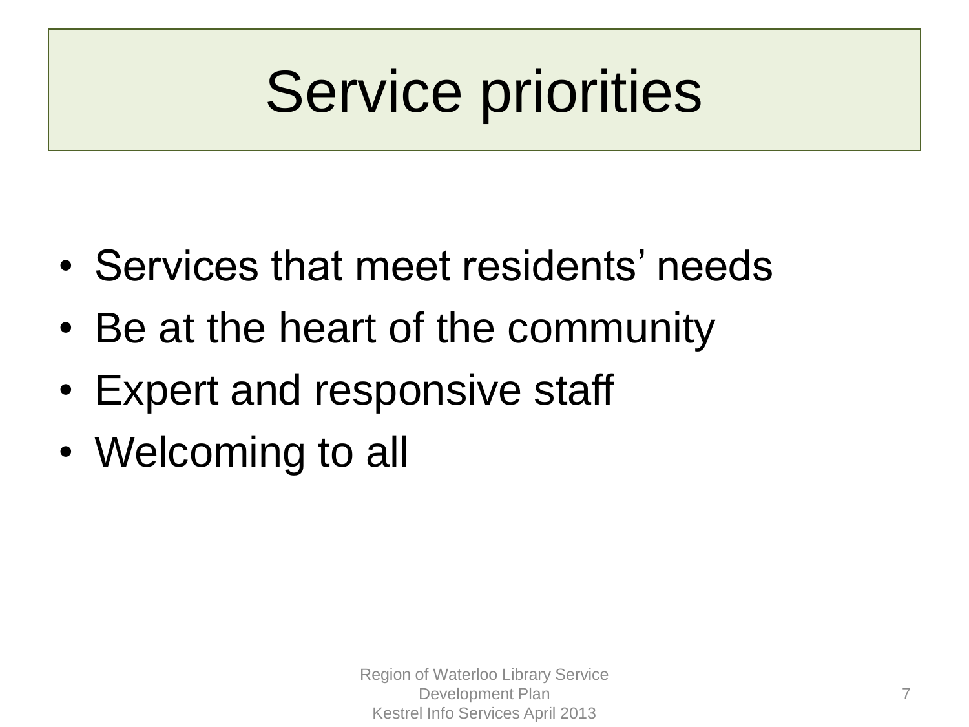# Service priorities

- Services that meet residents' needs
- Be at the heart of the community
- Expert and responsive staff
- Welcoming to all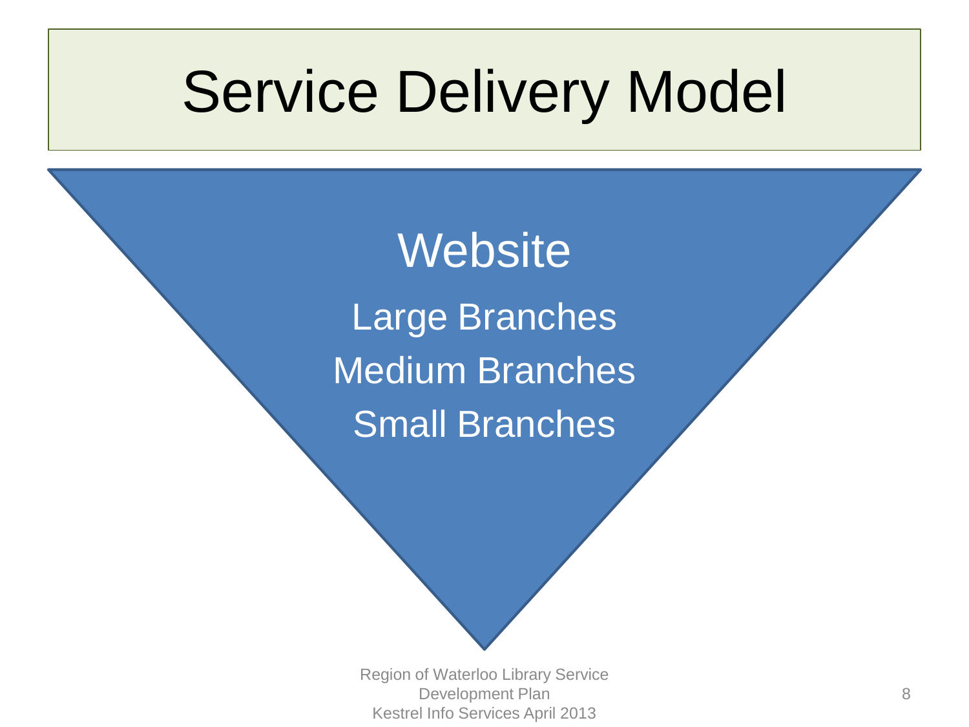## Service Delivery Model

**Website** Large Branches Medium Branches Small Branches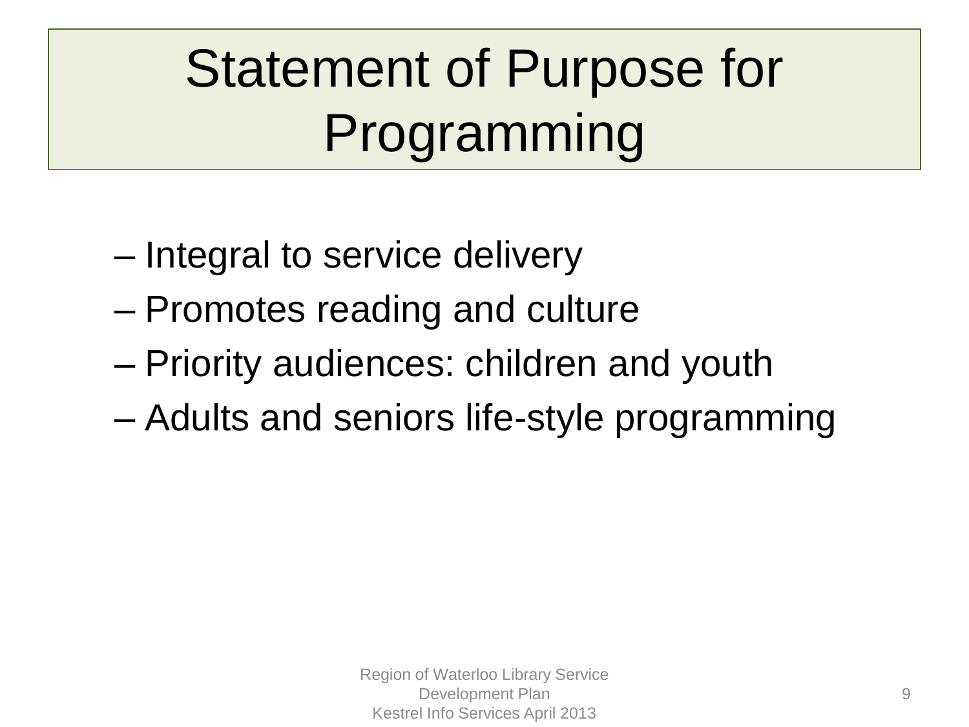## Statement of Purpose for Programming

- Integral to service delivery
- Promotes reading and culture
- Priority audiences: children and youth
- Adults and seniors life-style programming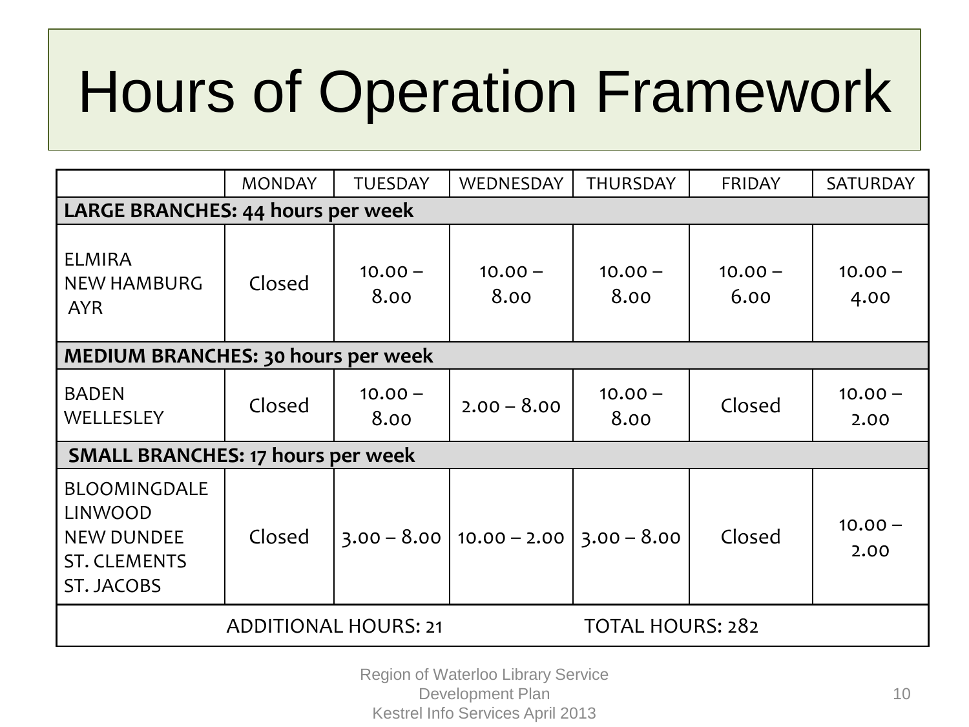# Hours of Operation Framework

|                                                                                                        | <b>MONDAY</b> | <b>TUESDAY</b>          | WEDNESDAY         | <b>THURSDAY</b>   | <b>FRIDAY</b>     | SATURDAY          |
|--------------------------------------------------------------------------------------------------------|---------------|-------------------------|-------------------|-------------------|-------------------|-------------------|
| <b>LARGE BRANCHES: 44 hours per week</b>                                                               |               |                         |                   |                   |                   |                   |
| <b>ELMIRA</b><br><b>NEW HAMBURG</b><br><b>AYR</b>                                                      | Closed        | $10.00 -$<br>8.00       | $10.00 -$<br>8.00 | $10.00 -$<br>8.00 | $10.00 -$<br>6.00 | $10.00 -$<br>4.00 |
| MEDIUM BRANCHES: 30 hours per week                                                                     |               |                         |                   |                   |                   |                   |
| <b>BADEN</b><br>WELLESLEY                                                                              | Closed        | $10.00 -$<br>8.00       | $2.00 - 8.00$     | $10.00 -$<br>8.00 | Closed            | $10.00 -$<br>2.00 |
| <b>SMALL BRANCHES: 17 hours per week</b>                                                               |               |                         |                   |                   |                   |                   |
| <b>BLOOMINGDALE</b><br><b>LINWOOD</b><br><b>NEW DUNDEE</b><br><b>ST. CLEMENTS</b><br><b>ST. JACOBS</b> | Closed        | $3.00 - 8.00$           | $10.00 - 2.00$    | $3.00 - 8.00$     | Closed            | $10.00 -$<br>2.00 |
|                                                                                                        |               | <b>TOTAL HOURS: 282</b> |                   |                   |                   |                   |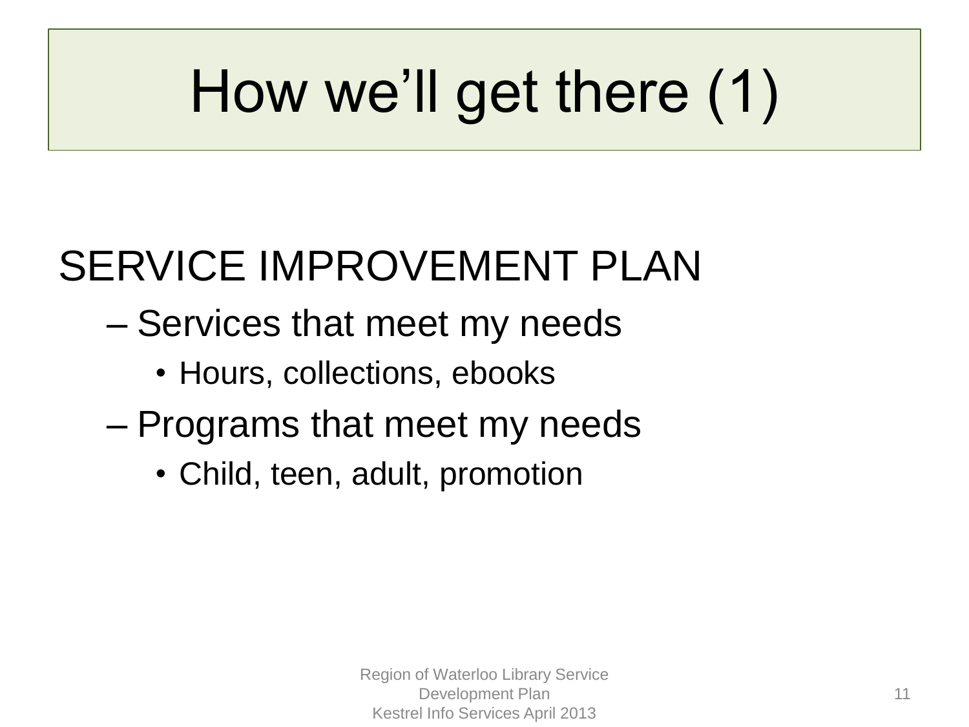# How we'll get there (1)

## SERVICE IMPROVEMENT PLAN

- Services that meet my needs
	- Hours, collections, ebooks
- Programs that meet my needs
	- Child, teen, adult, promotion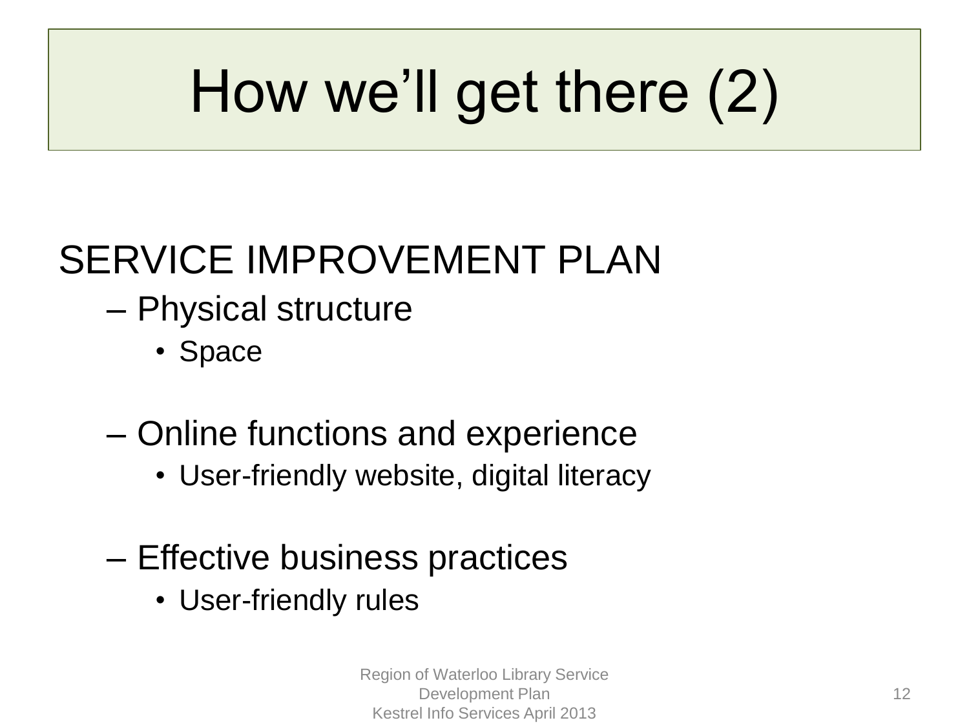# How we'll get there (2)

### SERVICE IMPROVEMENT PLAN

- Physical structure
	- Space
- Online functions and experience
	- User-friendly website, digital literacy
- Effective business practices
	- User-friendly rules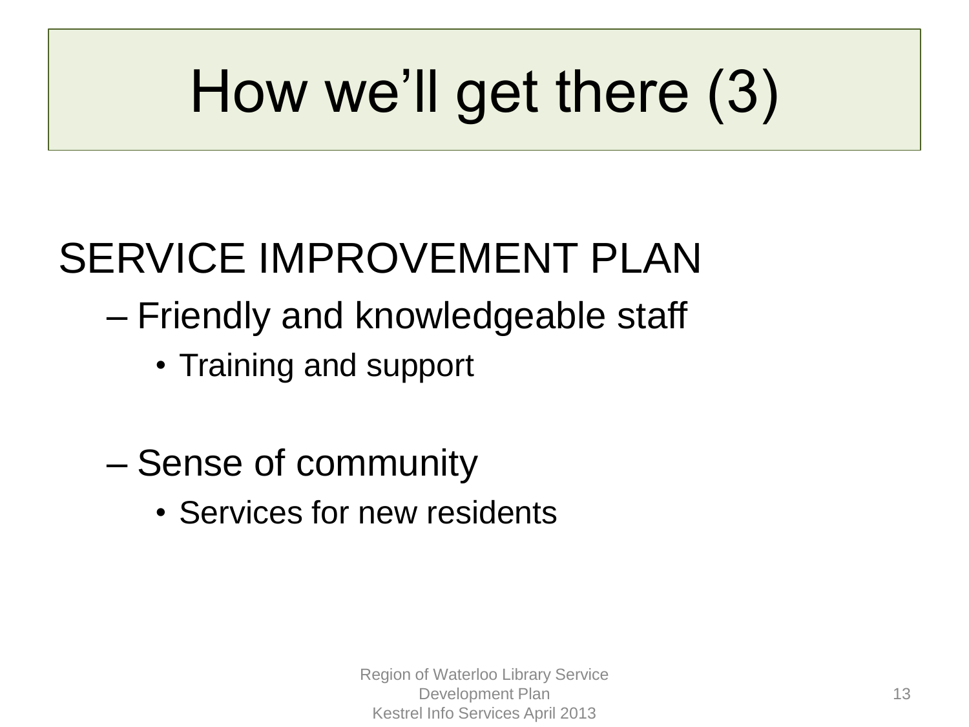# How we'll get there (3)

## SERVICE IMPROVEMENT PLAN

- Friendly and knowledgeable staff
	- Training and support
- Sense of community
	- Services for new residents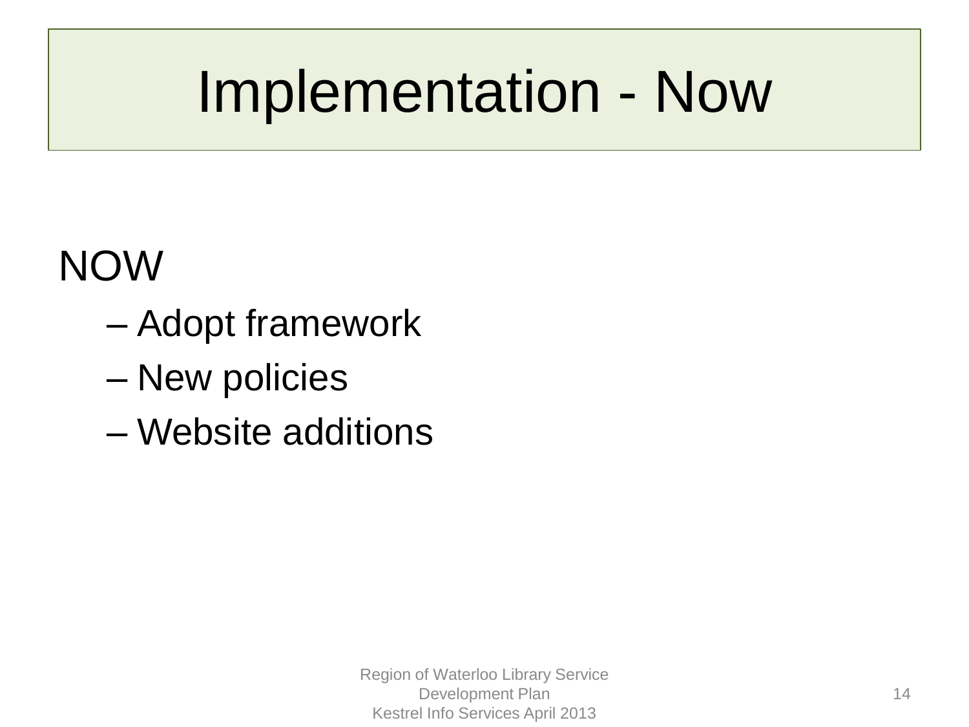# Implementation - Now

### NOW

- Adopt framework
- New policies
- Website additions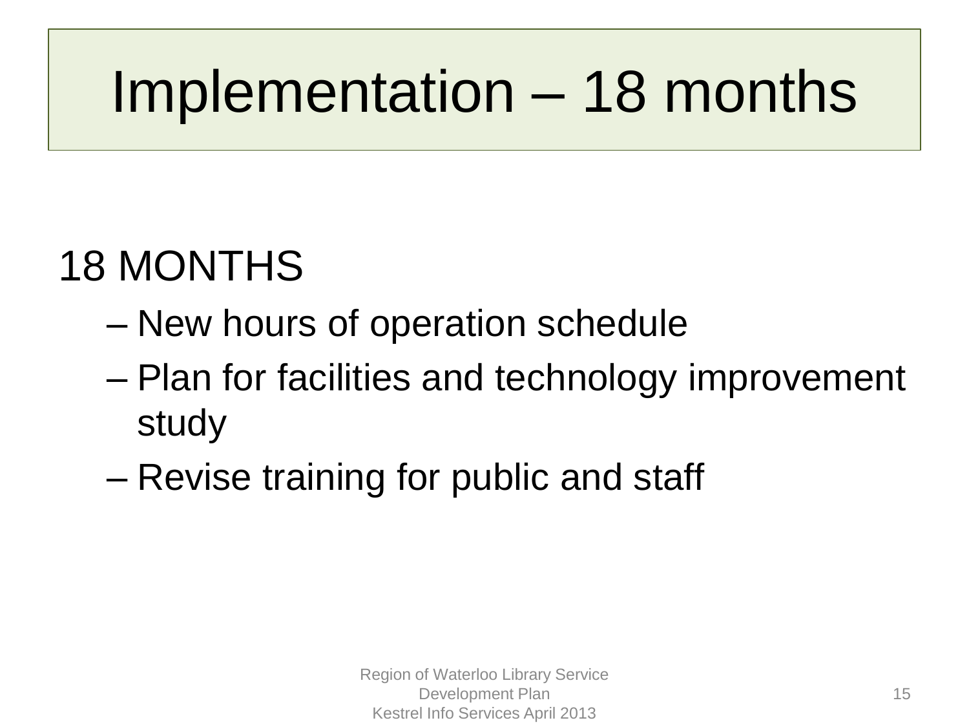# Implementation – 18 months

## 18 MONTHS

- New hours of operation schedule
- Plan for facilities and technology improvement study
- Revise training for public and staff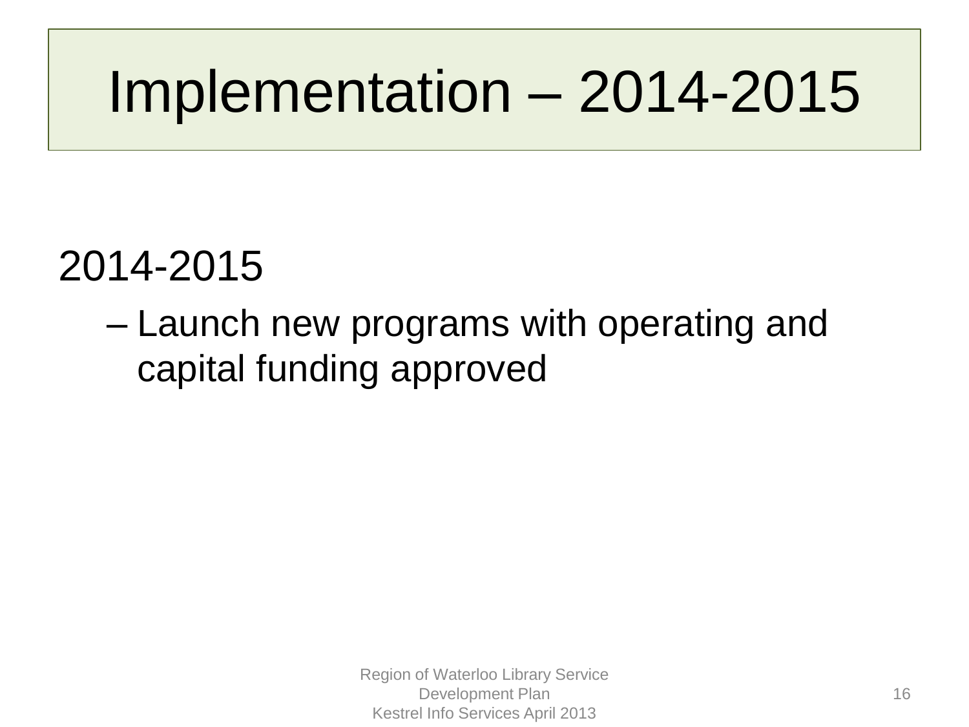## Implementation – 2014-2015

### 2014-2015

– Launch new programs with operating and capital funding approved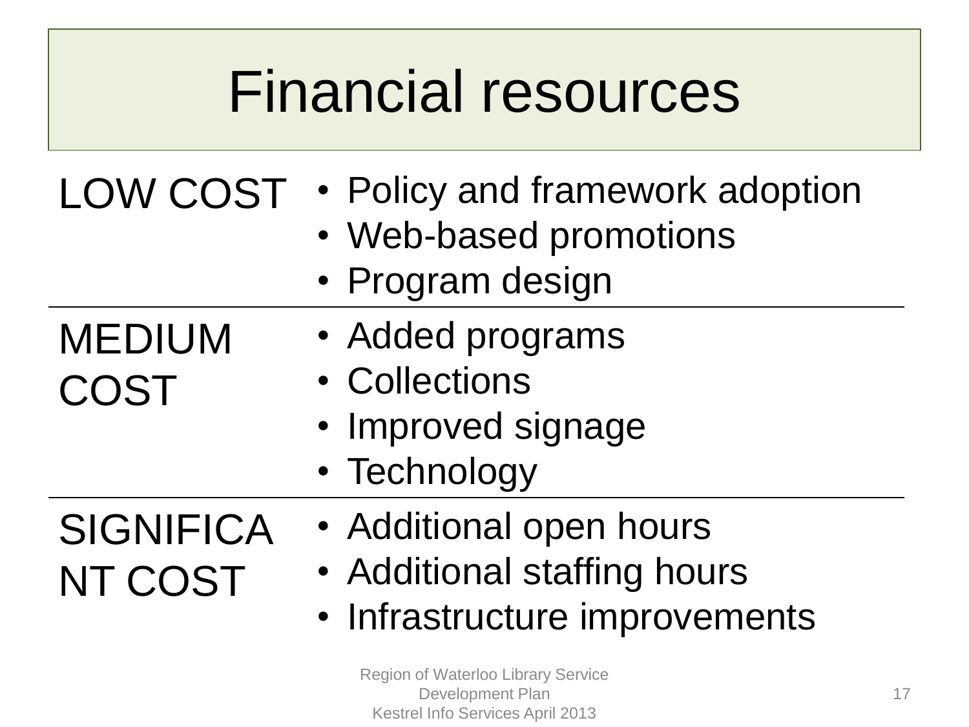## Financial resources

### LOW COST • Policy and framework adoption

- Web-based promotions
- Program design
- Added programs
- Collections
- Improved signage
- Technology
- **SIGNIFICA** NT COST

MEDIUM

COST

- Additional open hours
- Additional staffing hours
- Infrastructure improvements